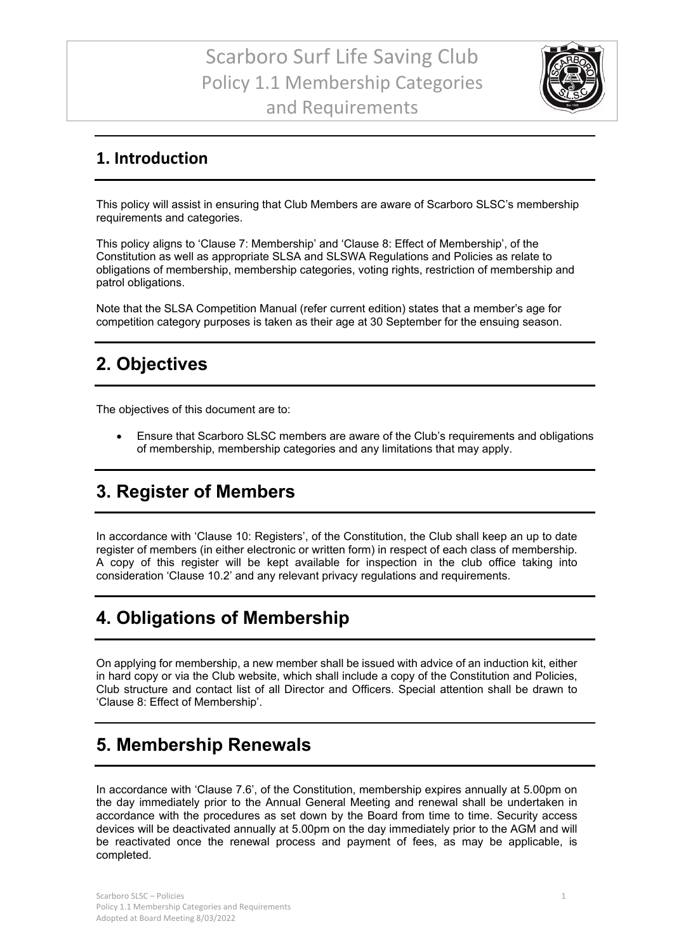## Scarboro Surf Life Saving Club Policy 1.1 Membership Categories and Requirements



#### **1. Introduction**

This policy will assist in ensuring that Club Members are aware of Scarboro SLSC's membership requirements and categories.

This policy aligns to 'Clause 7: Membership' and 'Clause 8: Effect of Membership', of the Constitution as well as appropriate SLSA and SLSWA Regulations and Policies as relate to obligations of membership, membership categories, voting rights, restriction of membership and patrol obligations.

Note that the SLSA Competition Manual (refer current edition) states that a member's age for competition category purposes is taken as their age at 30 September for the ensuing season.

## **2. Objectives**

The objectives of this document are to:

• Ensure that Scarboro SLSC members are aware of the Club's requirements and obligations of membership, membership categories and any limitations that may apply.

## **3. Register of Members**

In accordance with 'Clause 10: Registers', of the Constitution, the Club shall keep an up to date register of members (in either electronic or written form) in respect of each class of membership. A copy of this register will be kept available for inspection in the club office taking into consideration 'Clause 10.2' and any relevant privacy regulations and requirements.

#### **4. Obligations of Membership**

On applying for membership, a new member shall be issued with advice of an induction kit, either in hard copy or via the Club website, which shall include a copy of the Constitution and Policies, Club structure and contact list of all Director and Officers. Special attention shall be drawn to 'Clause 8: Effect of Membership'.

#### **5. Membership Renewals**

In accordance with 'Clause 7.6', of the Constitution, membership expires annually at 5.00pm on the day immediately prior to the Annual General Meeting and renewal shall be undertaken in accordance with the procedures as set down by the Board from time to time. Security access devices will be deactivated annually at 5.00pm on the day immediately prior to the AGM and will be reactivated once the renewal process and payment of fees, as may be applicable, is completed.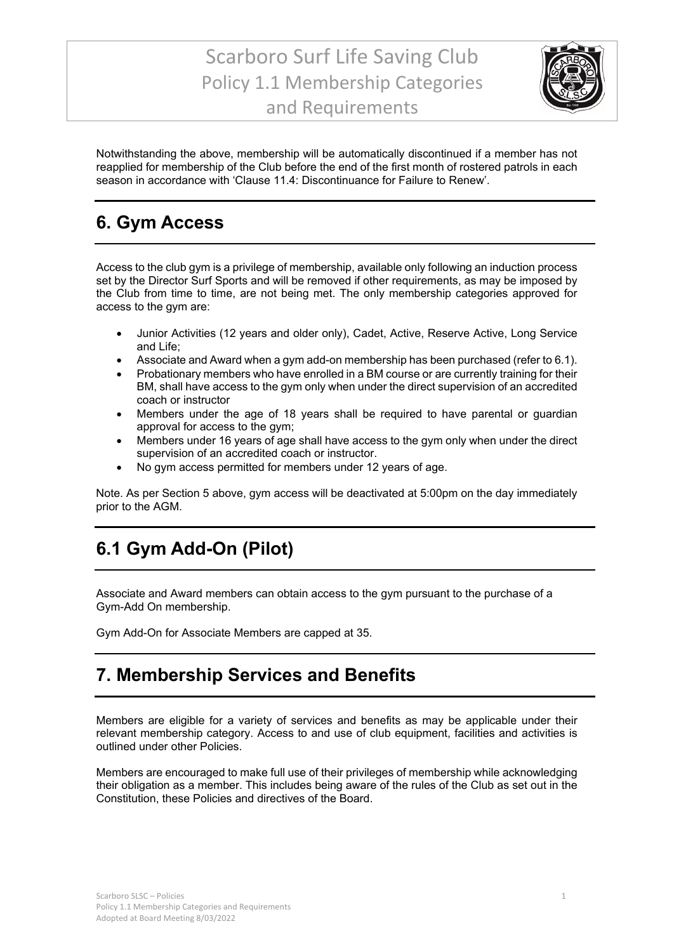## Scarboro Surf Life Saving Club Policy 1.1 Membership Categories and Requirements



Notwithstanding the above, membership will be automatically discontinued if a member has not reapplied for membership of the Club before the end of the first month of rostered patrols in each season in accordance with 'Clause 11.4: Discontinuance for Failure to Renew'.

### **6. Gym Access**

Access to the club gym is a privilege of membership, available only following an induction process set by the Director Surf Sports and will be removed if other requirements, as may be imposed by the Club from time to time, are not being met. The only membership categories approved for access to the gym are:

- Junior Activities (12 years and older only), Cadet, Active, Reserve Active, Long Service and Life;
- Associate and Award when a gym add-on membership has been purchased (refer to 6.1).
- Probationary members who have enrolled in a BM course or are currently training for their BM, shall have access to the gym only when under the direct supervision of an accredited coach or instructor
- Members under the age of 18 years shall be required to have parental or guardian approval for access to the gym;
- Members under 16 years of age shall have access to the gym only when under the direct supervision of an accredited coach or instructor.
- No gym access permitted for members under 12 years of age.

Note. As per Section 5 above, gym access will be deactivated at 5:00pm on the day immediately prior to the AGM.

## **6.1 Gym Add-On (Pilot)**

Associate and Award members can obtain access to the gym pursuant to the purchase of a Gym-Add On membership.

Gym Add-On for Associate Members are capped at 35.

#### **7. Membership Services and Benefits**

Members are eligible for a variety of services and benefits as may be applicable under their relevant membership category. Access to and use of club equipment, facilities and activities is outlined under other Policies.

Members are encouraged to make full use of their privileges of membership while acknowledging their obligation as a member. This includes being aware of the rules of the Club as set out in the Constitution, these Policies and directives of the Board.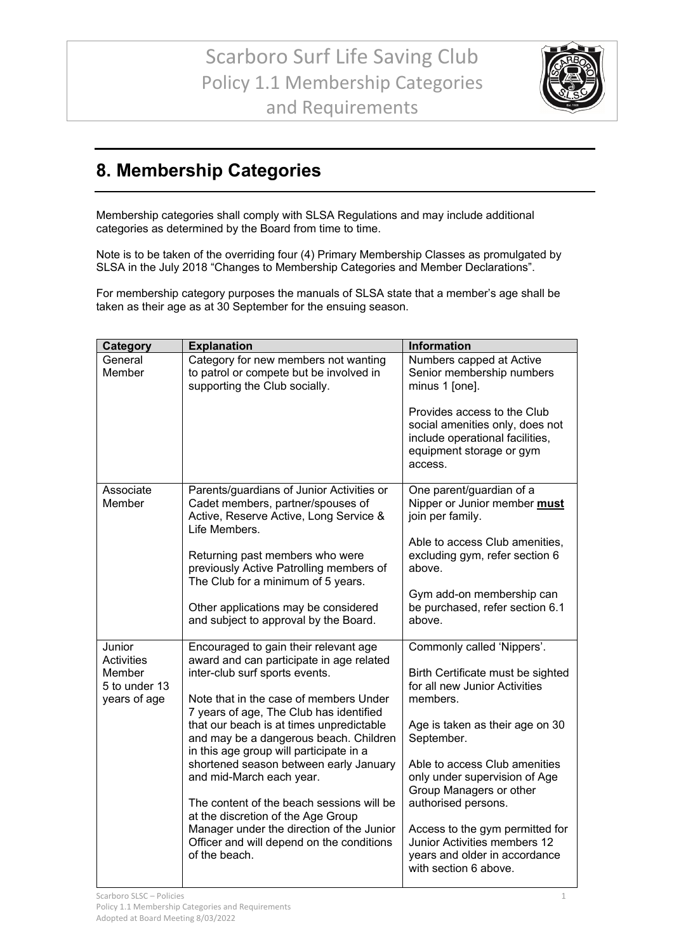

## **8. Membership Categories**

Membership categories shall comply with SLSA Regulations and may include additional categories as determined by the Board from time to time.

Note is to be taken of the overriding four (4) Primary Membership Classes as promulgated by SLSA in the July 2018 "Changes to Membership Categories and Member Declarations".

For membership category purposes the manuals of SLSA state that a member's age shall be taken as their age as at 30 September for the ensuing season.

| Category                              | <b>Explanation</b>                                                                                                                                                       | Information                                                                                                                              |
|---------------------------------------|--------------------------------------------------------------------------------------------------------------------------------------------------------------------------|------------------------------------------------------------------------------------------------------------------------------------------|
| General<br>Member                     | Category for new members not wanting<br>to patrol or compete but be involved in<br>supporting the Club socially.                                                         | Numbers capped at Active<br>Senior membership numbers<br>minus 1 [one].                                                                  |
|                                       |                                                                                                                                                                          | Provides access to the Club<br>social amenities only, does not<br>include operational facilities,<br>equipment storage or gym<br>access. |
| Associate<br>Member                   | Parents/guardians of Junior Activities or<br>Cadet members, partner/spouses of<br>Active, Reserve Active, Long Service &<br>Life Members.                                | One parent/guardian of a<br>Nipper or Junior member must<br>join per family.                                                             |
|                                       | Returning past members who were<br>previously Active Patrolling members of<br>The Club for a minimum of 5 years.                                                         | Able to access Club amenities,<br>excluding gym, refer section 6<br>above.                                                               |
|                                       | Other applications may be considered<br>and subject to approval by the Board.                                                                                            | Gym add-on membership can<br>be purchased, refer section 6.1<br>above.                                                                   |
| Junior<br><b>Activities</b><br>Member | Encouraged to gain their relevant age<br>award and can participate in age related<br>inter-club surf sports events.                                                      | Commonly called 'Nippers'.<br>Birth Certificate must be sighted                                                                          |
| 5 to under 13<br>years of age         | Note that in the case of members Under                                                                                                                                   | for all new Junior Activities<br>members.                                                                                                |
|                                       | 7 years of age, The Club has identified<br>that our beach is at times unpredictable<br>and may be a dangerous beach. Children<br>in this age group will participate in a | Age is taken as their age on 30<br>September.                                                                                            |
|                                       | shortened season between early January<br>and mid-March each year.                                                                                                       | Able to access Club amenities<br>only under supervision of Age<br>Group Managers or other                                                |
|                                       | The content of the beach sessions will be<br>at the discretion of the Age Group                                                                                          | authorised persons.                                                                                                                      |
|                                       | Manager under the direction of the Junior<br>Officer and will depend on the conditions<br>of the beach.                                                                  | Access to the gym permitted for<br>Junior Activities members 12<br>years and older in accordance<br>with section 6 above.                |
|                                       |                                                                                                                                                                          |                                                                                                                                          |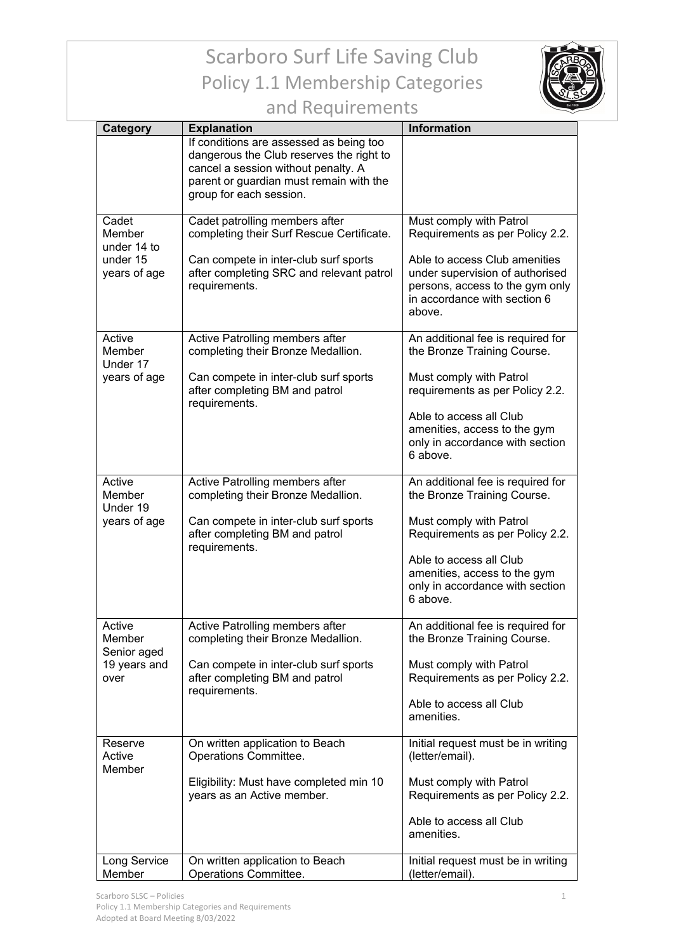## Scarboro Surf Life Saving Club Policy 1.1 Membership Categories



| and Requirements |
|------------------|
|------------------|

| Category                                                   | <b>Explanation</b>                                                                                                                                                                               | <b>Information</b>                                                                                                                                                                                                                       |
|------------------------------------------------------------|--------------------------------------------------------------------------------------------------------------------------------------------------------------------------------------------------|------------------------------------------------------------------------------------------------------------------------------------------------------------------------------------------------------------------------------------------|
|                                                            | If conditions are assessed as being too<br>dangerous the Club reserves the right to<br>cancel a session without penalty. A<br>parent or guardian must remain with the<br>group for each session. |                                                                                                                                                                                                                                          |
| Cadet<br>Member<br>under 14 to<br>under 15<br>years of age | Cadet patrolling members after<br>completing their Surf Rescue Certificate.<br>Can compete in inter-club surf sports<br>after completing SRC and relevant patrol<br>requirements.                | Must comply with Patrol<br>Requirements as per Policy 2.2.<br>Able to access Club amenities<br>under supervision of authorised<br>persons, access to the gym only<br>in accordance with section 6<br>above.                              |
| Active<br>Member<br>Under 17<br>years of age               | <b>Active Patrolling members after</b><br>completing their Bronze Medallion.<br>Can compete in inter-club surf sports<br>after completing BM and patrol<br>requirements.                         | An additional fee is required for<br>the Bronze Training Course.<br>Must comply with Patrol<br>requirements as per Policy 2.2.<br>Able to access all Club<br>amenities, access to the gym<br>only in accordance with section<br>6 above. |
| Active<br>Member<br>Under 19<br>years of age               | Active Patrolling members after<br>completing their Bronze Medallion.<br>Can compete in inter-club surf sports<br>after completing BM and patrol<br>requirements.                                | An additional fee is required for<br>the Bronze Training Course.<br>Must comply with Patrol<br>Requirements as per Policy 2.2.<br>Able to access all Club<br>amenities, access to the gym<br>only in accordance with section<br>6 above. |
| Active<br>Member<br>Senior aged<br>19 years and<br>over    | Active Patrolling members after<br>completing their Bronze Medallion.<br>Can compete in inter-club surf sports<br>after completing BM and patrol<br>requirements.                                | An additional fee is required for<br>the Bronze Training Course.<br>Must comply with Patrol<br>Requirements as per Policy 2.2.<br>Able to access all Club<br>amenities.                                                                  |
| Reserve<br>Active<br>Member<br>Long Service                | On written application to Beach<br>Operations Committee.<br>Eligibility: Must have completed min 10<br>years as an Active member.<br>On written application to Beach                             | Initial request must be in writing<br>(letter/email).<br>Must comply with Patrol<br>Requirements as per Policy 2.2.<br>Able to access all Club<br>amenities.<br>Initial request must be in writing                                       |
| Member                                                     | Operations Committee.                                                                                                                                                                            | (letter/email).                                                                                                                                                                                                                          |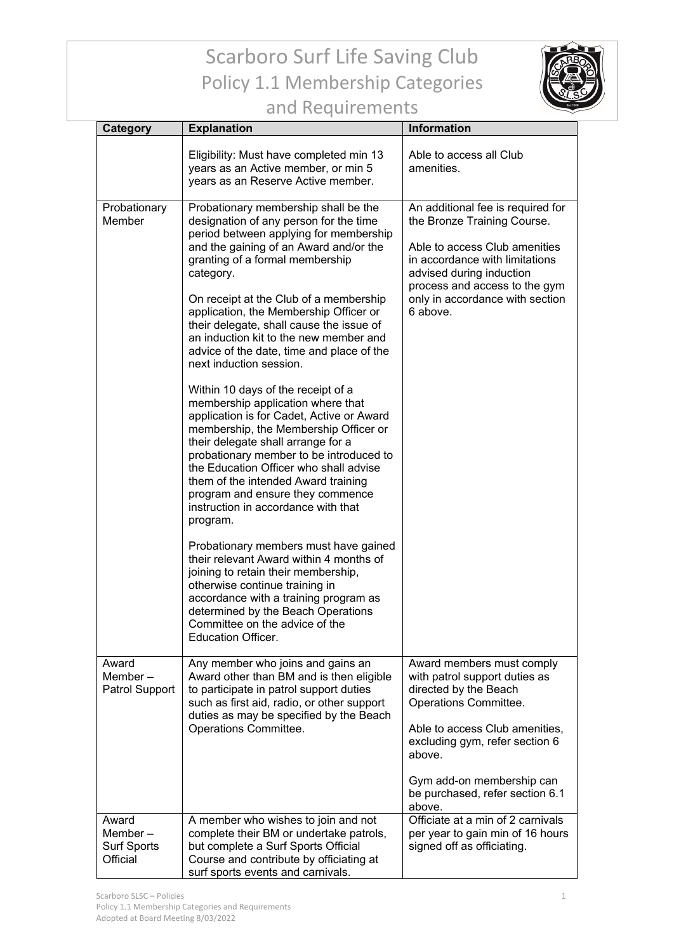# Scarboro Surf Life Saving Club Policy 1.1 Membership Categories



## and Requirements

| Category                                              | <b>Explanation</b>                                                                                                                                                                                                                                                                                                                                                                                                                                                                                                                                                                                                                                                                                                                                                                                                                                                                                                                                                                                                                                                                                                                                                                                        | <b>Information</b>                                                                                                                                                                                                                                                   |
|-------------------------------------------------------|-----------------------------------------------------------------------------------------------------------------------------------------------------------------------------------------------------------------------------------------------------------------------------------------------------------------------------------------------------------------------------------------------------------------------------------------------------------------------------------------------------------------------------------------------------------------------------------------------------------------------------------------------------------------------------------------------------------------------------------------------------------------------------------------------------------------------------------------------------------------------------------------------------------------------------------------------------------------------------------------------------------------------------------------------------------------------------------------------------------------------------------------------------------------------------------------------------------|----------------------------------------------------------------------------------------------------------------------------------------------------------------------------------------------------------------------------------------------------------------------|
|                                                       | Eligibility: Must have completed min 13<br>years as an Active member, or min 5<br>years as an Reserve Active member.                                                                                                                                                                                                                                                                                                                                                                                                                                                                                                                                                                                                                                                                                                                                                                                                                                                                                                                                                                                                                                                                                      | Able to access all Club<br>amenities.                                                                                                                                                                                                                                |
| Probationary<br>Member                                | Probationary membership shall be the<br>designation of any person for the time<br>period between applying for membership<br>and the gaining of an Award and/or the<br>granting of a formal membership<br>category.<br>On receipt at the Club of a membership<br>application, the Membership Officer or<br>their delegate, shall cause the issue of<br>an induction kit to the new member and<br>advice of the date, time and place of the<br>next induction session.<br>Within 10 days of the receipt of a<br>membership application where that<br>application is for Cadet, Active or Award<br>membership, the Membership Officer or<br>their delegate shall arrange for a<br>probationary member to be introduced to<br>the Education Officer who shall advise<br>them of the intended Award training<br>program and ensure they commence<br>instruction in accordance with that<br>program.<br>Probationary members must have gained<br>their relevant Award within 4 months of<br>joining to retain their membership,<br>otherwise continue training in<br>accordance with a training program as<br>determined by the Beach Operations<br>Committee on the advice of the<br><b>Education Officer.</b> | An additional fee is required for<br>the Bronze Training Course.<br>Able to access Club amenities<br>in accordance with limitations<br>advised during induction<br>process and access to the gym<br>only in accordance with section<br>6 above.                      |
| Award<br>Member $-$<br>Patrol Support                 | Any member who joins and gains an<br>Award other than BM and is then eligible<br>to participate in patrol support duties<br>such as first aid, radio, or other support<br>duties as may be specified by the Beach<br>Operations Committee.                                                                                                                                                                                                                                                                                                                                                                                                                                                                                                                                                                                                                                                                                                                                                                                                                                                                                                                                                                | Award members must comply<br>with patrol support duties as<br>directed by the Beach<br>Operations Committee.<br>Able to access Club amenities,<br>excluding gym, refer section 6<br>above.<br>Gym add-on membership can<br>be purchased, refer section 6.1<br>above. |
| Award<br>Member $-$<br><b>Surf Sports</b><br>Official | A member who wishes to join and not<br>complete their BM or undertake patrols,<br>but complete a Surf Sports Official<br>Course and contribute by officiating at<br>surf sports events and carnivals.                                                                                                                                                                                                                                                                                                                                                                                                                                                                                                                                                                                                                                                                                                                                                                                                                                                                                                                                                                                                     | Officiate at a min of 2 carnivals<br>per year to gain min of 16 hours<br>signed off as officiating.                                                                                                                                                                  |